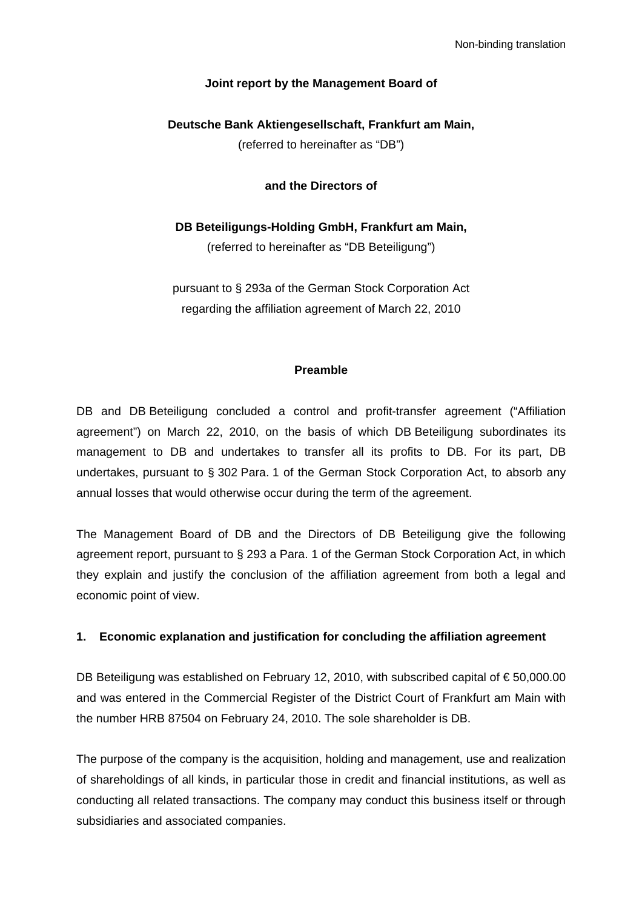#### **Joint report by the Management Board of**

## **Deutsche Bank Aktiengesellschaft, Frankfurt am Main,**

(referred to hereinafter as "DB")

**and the Directors of** 

**DB Beteiligungs-Holding GmbH, Frankfurt am Main,**  (referred to hereinafter as "DB Beteiligung")

pursuant to § 293a of the German Stock Corporation Act regarding the affiliation agreement of March 22, 2010

#### **Preamble**

DB and DB Beteiligung concluded a control and profit-transfer agreement ("Affiliation agreement") on March 22, 2010, on the basis of which DB Beteiligung subordinates its management to DB and undertakes to transfer all its profits to DB. For its part, DB undertakes, pursuant to § 302 Para. 1 of the German Stock Corporation Act, to absorb any annual losses that would otherwise occur during the term of the agreement.

The Management Board of DB and the Directors of DB Beteiligung give the following agreement report, pursuant to § 293 a Para. 1 of the German Stock Corporation Act, in which they explain and justify the conclusion of the affiliation agreement from both a legal and economic point of view.

#### **1. Economic explanation and justification for concluding the affiliation agreement**

DB Beteiligung was established on February 12, 2010, with subscribed capital of € 50,000.00 and was entered in the Commercial Register of the District Court of Frankfurt am Main with the number HRB 87504 on February 24, 2010. The sole shareholder is DB.

The purpose of the company is the acquisition, holding and management, use and realization of shareholdings of all kinds, in particular those in credit and financial institutions, as well as conducting all related transactions. The company may conduct this business itself or through subsidiaries and associated companies.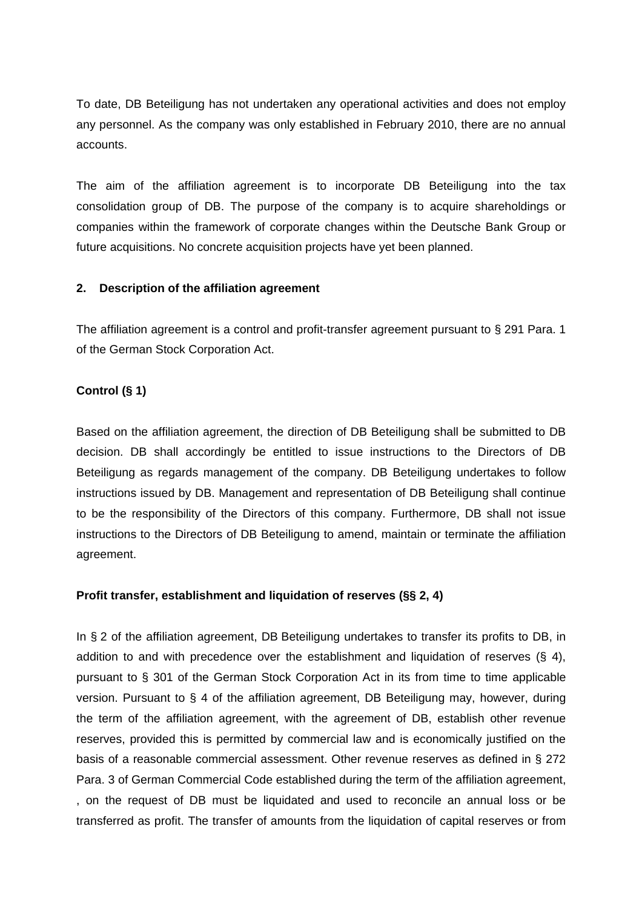To date, DB Beteiligung has not undertaken any operational activities and does not employ any personnel. As the company was only established in February 2010, there are no annual accounts.

The aim of the affiliation agreement is to incorporate DB Beteiligung into the tax consolidation group of DB. The purpose of the company is to acquire shareholdings or companies within the framework of corporate changes within the Deutsche Bank Group or future acquisitions. No concrete acquisition projects have yet been planned.

### **2. Description of the affiliation agreement**

The affiliation agreement is a control and profit-transfer agreement pursuant to § 291 Para. 1 of the German Stock Corporation Act.

### **Control (§ 1)**

Based on the affiliation agreement, the direction of DB Beteiligung shall be submitted to DB decision. DB shall accordingly be entitled to issue instructions to the Directors of DB Beteiligung as regards management of the company. DB Beteiligung undertakes to follow instructions issued by DB. Management and representation of DB Beteiligung shall continue to be the responsibility of the Directors of this company. Furthermore, DB shall not issue instructions to the Directors of DB Beteiligung to amend, maintain or terminate the affiliation agreement.

### **Profit transfer, establishment and liquidation of reserves (§§ 2, 4)**

In § 2 of the affiliation agreement, DB Beteiligung undertakes to transfer its profits to DB, in addition to and with precedence over the establishment and liquidation of reserves  $(§ 4)$ , pursuant to § 301 of the German Stock Corporation Act in its from time to time applicable version. Pursuant to § 4 of the affiliation agreement, DB Beteiligung may, however, during the term of the affiliation agreement, with the agreement of DB, establish other revenue reserves, provided this is permitted by commercial law and is economically justified on the basis of a reasonable commercial assessment. Other revenue reserves as defined in § 272 Para. 3 of German Commercial Code established during the term of the affiliation agreement, , on the request of DB must be liquidated and used to reconcile an annual loss or be transferred as profit. The transfer of amounts from the liquidation of capital reserves or from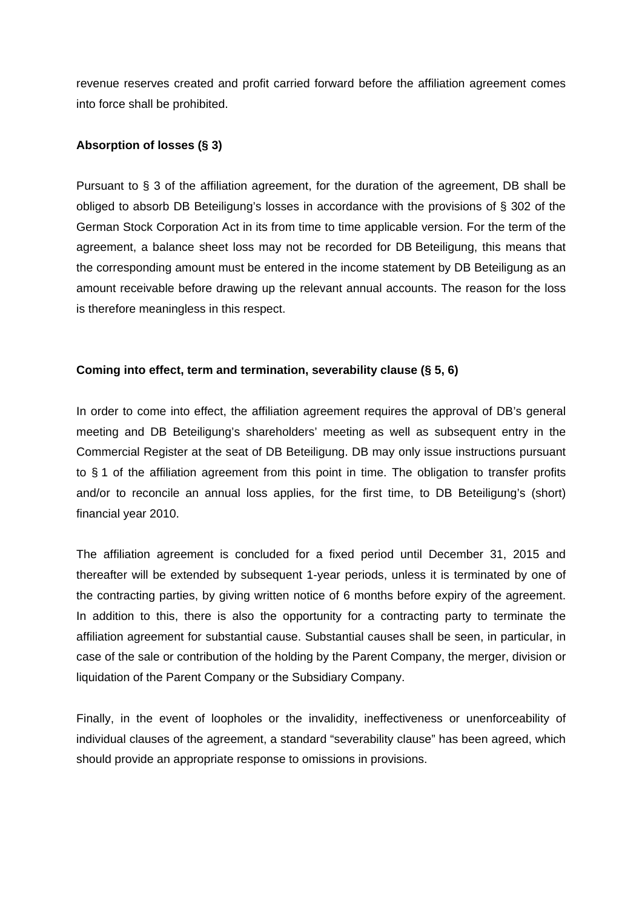revenue reserves created and profit carried forward before the affiliation agreement comes into force shall be prohibited.

## **Absorption of losses (§ 3)**

Pursuant to § 3 of the affiliation agreement, for the duration of the agreement, DB shall be obliged to absorb DB Beteiligung's losses in accordance with the provisions of § 302 of the German Stock Corporation Act in its from time to time applicable version. For the term of the agreement, a balance sheet loss may not be recorded for DB Beteiligung, this means that the corresponding amount must be entered in the income statement by DB Beteiligung as an amount receivable before drawing up the relevant annual accounts. The reason for the loss is therefore meaningless in this respect.

## **Coming into effect, term and termination, severability clause (§ 5, 6)**

In order to come into effect, the affiliation agreement requires the approval of DB's general meeting and DB Beteiligung's shareholders' meeting as well as subsequent entry in the Commercial Register at the seat of DB Beteiligung. DB may only issue instructions pursuant to § 1 of the affiliation agreement from this point in time. The obligation to transfer profits and/or to reconcile an annual loss applies, for the first time, to DB Beteiligung's (short) financial year 2010.

The affiliation agreement is concluded for a fixed period until December 31, 2015 and thereafter will be extended by subsequent 1-year periods, unless it is terminated by one of the contracting parties, by giving written notice of 6 months before expiry of the agreement. In addition to this, there is also the opportunity for a contracting party to terminate the affiliation agreement for substantial cause. Substantial causes shall be seen, in particular, in case of the sale or contribution of the holding by the Parent Company, the merger, division or liquidation of the Parent Company or the Subsidiary Company.

Finally, in the event of loopholes or the invalidity, ineffectiveness or unenforceability of individual clauses of the agreement, a standard "severability clause" has been agreed, which should provide an appropriate response to omissions in provisions.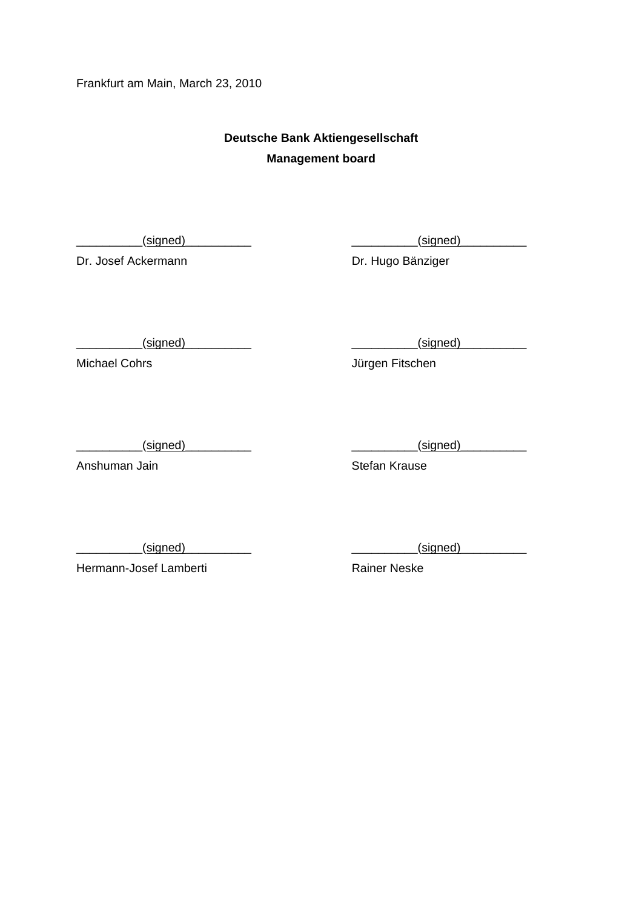Frankfurt am Main, March 23, 2010

# **Deutsche Bank Aktiengesellschaft Management board**

Dr. Josef Ackermann Dr. Hugo Bänziger

\_\_\_\_\_\_\_\_\_\_(signed)\_\_\_\_\_\_\_\_\_\_ \_\_\_\_\_\_\_\_\_\_(signed)\_\_\_\_\_\_\_\_\_\_

Michael Cohrs Jürgen Fitschen

\_\_\_\_\_\_\_\_\_\_(signed)\_\_\_\_\_\_\_\_\_\_ \_\_\_\_\_\_\_\_\_\_(signed)\_\_\_\_\_\_\_\_\_\_

Anshuman Jain **Stefan Krause** 

 $\frac{(\text{signed})}{\text{signed}}$ 

Hermann-Josef Lamberti **Rainer Neske** 

\_\_\_\_\_\_\_\_\_\_(signed)\_\_\_\_\_\_\_\_\_\_ \_\_\_\_\_\_\_\_\_\_(signed)\_\_\_\_\_\_\_\_\_\_